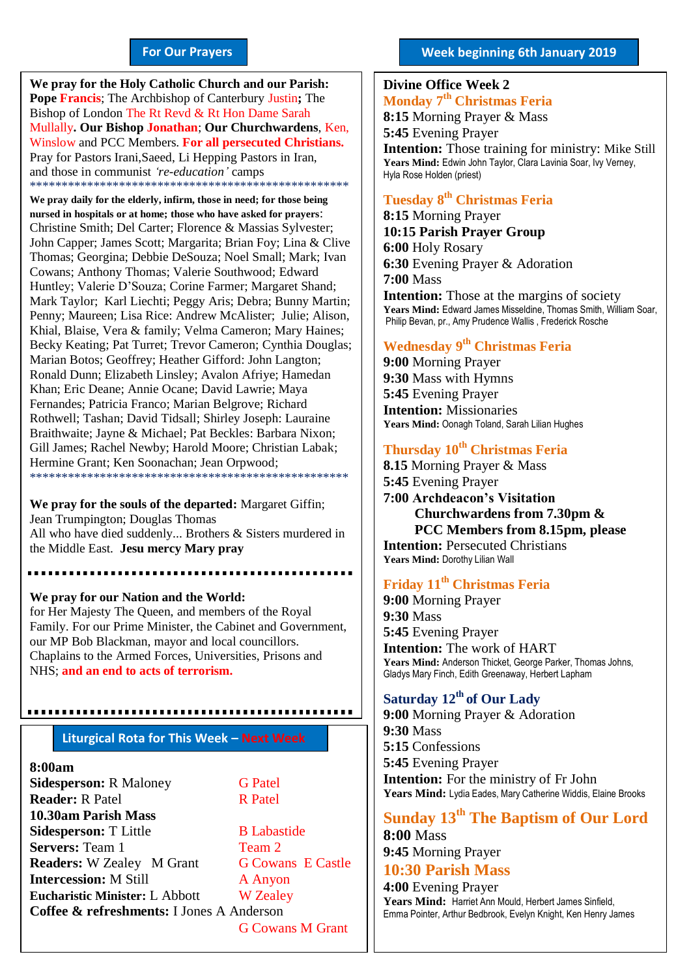#### **For Our Prayers**

arted Mullally**. Our Bishop Jonathan**; **Our Churchwardens**, Ken, **We pray for the Holy Catholic Church and our Parish: Pope Francis**; The Archbishop of Canterbury Justin**;** The Bishop of London The Rt Revd & Rt Hon Dame Sarah Winslow and PCC Members. **For all persecuted Christians.** Pray for Pastors Irani,Saeed, Li Hepping Pastors in Iran, and those in communist *'re-education'* camps \*\*\*\*\*\*\*\*\*\*\*\*\*\*\*\*\*\*\*\*\*\*\*\*\*\*\*\*\*\*\*\*\*\*\*\*\*\*\*\*\*\*\*\*\*\*\*\*\*\*

**We pray daily for the elderly, infirm, those in need; for those being nursed in hospitals or at home; those who have asked for prayers**: Christine Smith; Del Carter; Florence & Massias Sylvester; John Capper; James Scott; Margarita; Brian Foy; Lina & Clive Thomas; Georgina; Debbie DeSouza; Noel Small; Mark; Ivan Cowans; Anthony Thomas; Valerie Southwood; Edward Huntley; Valerie D'Souza; Corine Farmer; Margaret Shand; Mark Taylor; Karl Liechti; Peggy Aris; Debra; Bunny Martin; Penny; Maureen; Lisa Rice: Andrew McAlister; Julie; Alison, Khial, Blaise, Vera & family; Velma Cameron; Mary Haines; Becky Keating; Pat Turret; Trevor Cameron; Cynthia Douglas; Marian Botos; Geoffrey; Heather Gifford: John Langton; Ronald Dunn; Elizabeth Linsley; Avalon Afriye; Hamedan Khan; Eric Deane; Annie Ocane; David Lawrie; Maya Fernandes; Patricia Franco; Marian Belgrove; Richard Rothwell; Tashan; David Tidsall; Shirley Joseph: Lauraine Braithwaite; Jayne & Michael; Pat Beckles: Barbara Nixon; Gill James; Rachel Newby; Harold Moore; Christian Labak; Hermine Grant; Ken Soonachan; Jean Orpwood; \*\*\*\*\*\*\*\*\*\*\*\*\*\*\*\*\*\*\*\*\*\*\*\*\*\*\*\*\*\*\*\*\*\*\*\*\*\*\*\*\*\*\*\*\*\*\*\*\*\*

**We pray for the souls of the departed:** Margaret Giffin; Jean Trumpington; Douglas Thomas All who have died suddenly... Brothers & Sisters murdered in the Middle East. **Jesu mercy Mary pray**

............................

**We pray for our Nation and the World:** for Her Majesty The Queen, and members of the Royal Family. For our Prime Minister, the Cabinet and Government, our MP Bob Blackman, mayor and local councillors. Chaplains to the Armed Forces, Universities, Prisons and NHS; **and an end to acts of terrorism.**

#### **Liturgical Rota for This Week – Next Week**

,,,,,,,,,,,,,,,,,,,,,,,,,

**8:00am Sidesperson:** R Maloney **G Patel Reader:** R Patel R Patel **10.30am Parish Mass Sidesperson:** T Little B Labastide **Servers:** Team 1 Team 2 **Readers:** W Zealey M Grant G Cowans E Castle **Intercession:** M Still **A** Anyon **Eucharistic Minister:** L Abbott W Zealey **Coffee & refreshments:** I Jones A Anderson

G Cowans M Grant

#### **Divine Office Week 2 Monday 7 th Christmas Feria**

**8:15** Morning Prayer & Mass **5:45** Evening Prayer **Intention:** Those training for ministry: Mike Still **Years Mind:** Edwin John Taylor, Clara Lavinia Soar, Ivy Verney, Hyla Rose Holden (priest)

#### **Tuesday 8 th Christmas Feria**

**8:15** Morning Prayer **10:15 Parish Prayer Group 6:00** Holy Rosary **6:30** Evening Prayer & Adoration **7:00** Mass **Intention:** Those at the margins of society **Years Mind:** Edward James Misseldine, Thomas Smith, William Soar, Philip Bevan, pr., Amy Prudence Wallis , Frederick Rosche

#### **Wednesday 9 th Christmas Feria**

**9:00** Morning Prayer **9:30** Mass with Hymns **5:45** Evening Prayer **Intention:** Missionaries **Years Mind:** Oonagh Toland, Sarah Lilian Hughes

#### **Thursday 10 th Christmas Feria**

**8.15** Morning Prayer & Mass **5:45** Evening Prayer **7:00 Archdeacon's Visitation Churchwardens from 7.30pm & PCC Members from 8.15pm, please Intention:** Persecuted Christians **Years Mind:** Dorothy Lilian Wall

#### **Friday 11th Christmas Feria**

**9:00** Morning Prayer **9:30** Mass **5:45** Evening Prayer **Intention:** The work of HART **Years Mind:** Anderson Thicket, George Parker, Thomas Johns, Gladys Mary Finch, Edith Greenaway, Herbert Lapham

#### **Saturday 12 th of Our Lady**

**9:00** Morning Prayer & Adoration **9:30** Mass **5:15** Confessions **5:45** Evening Prayer **Intention:** For the ministry of Fr John **Years Mind:** Lydia Eades, Mary Catherine Widdis, Elaine Brooks

## **Sunday 13 th The Baptism of Our Lord**

**8:00** Mass **9:45** Morning Prayer

### **10:30 Parish Mass**

**4:00** Evening Prayer **Years Mind:** Harriet Ann Mould, Herbert James Sinfield, Emma Pointer, Arthur Bedbrook, Evelyn Knight, Ken Henry James